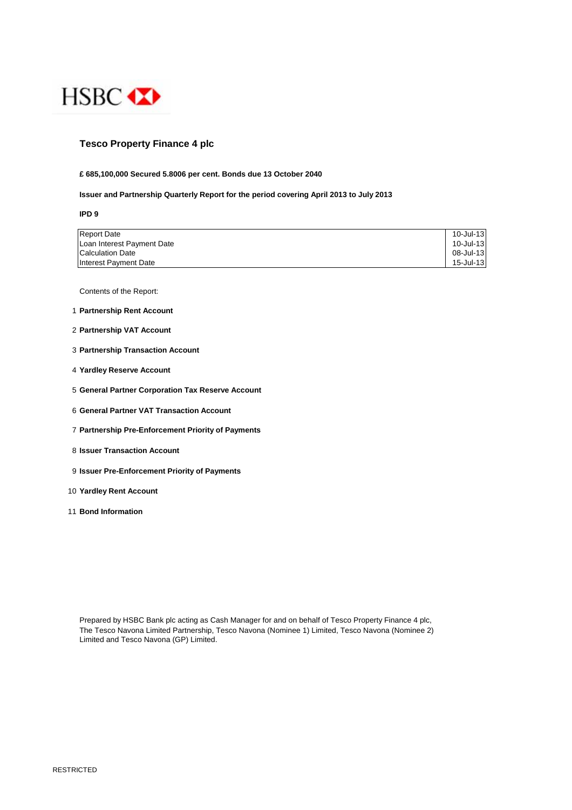

## **Tesco Property Finance 4 plc**

### **£ 685,100,000 Secured 5.8006 per cent. Bonds due 13 October 2040**

## **Issuer and Partnership Quarterly Report for the period covering April 2013 to July 2013**

**IPD 9**

| <b>Report Date</b>         | 10-Jul-13 |
|----------------------------|-----------|
| Loan Interest Payment Date | 10-Jul-13 |
| <b>Calculation Date</b>    | 08-Jul-13 |
| Interest Payment Date      | 15-Jul-13 |

Contents of the Report:

- 1 **Partnership Rent Account**
- 2 **Partnership VAT Account**
- 3 **Partnership Transaction Account**
- 4 **Yardley Reserve Account**
- 5 **General Partner Corporation Tax Reserve Account**
- 6 **General Partner VAT Transaction Account**
- 7 **Partnership Pre-Enforcement Priority of Payments**
- 8 **Issuer Transaction Account**
- 9 **Issuer Pre-Enforcement Priority of Payments**
- 10 **Yardley Rent Account**
- 11 **Bond Information**

Prepared by HSBC Bank plc acting as Cash Manager for and on behalf of Tesco Property Finance 4 plc, The Tesco Navona Limited Partnership, Tesco Navona (Nominee 1) Limited, Tesco Navona (Nominee 2) Limited and Tesco Navona (GP) Limited.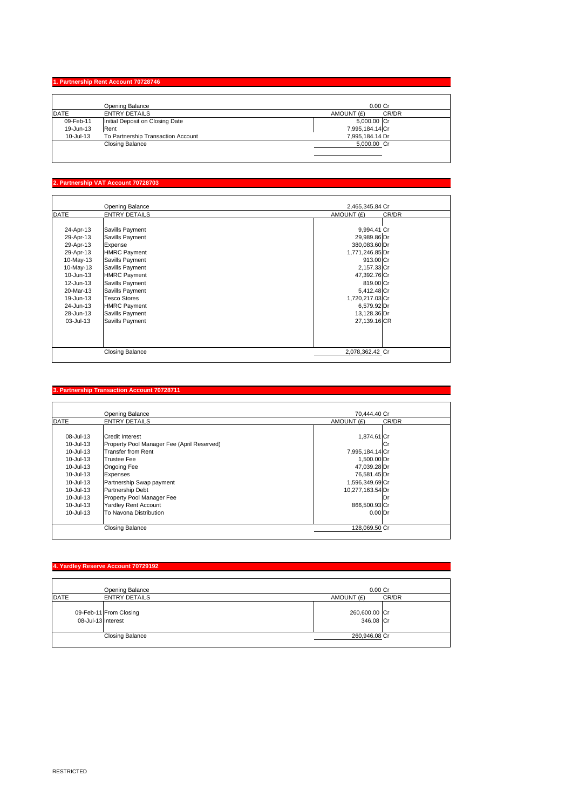## **1. Partnership Rent Account 70728746**

| Opening Balance                    | $0.00$ Cr           |
|------------------------------------|---------------------|
| <b>ENTRY DETAILS</b>               | CR/DR<br>AMOUNT (£) |
| Initial Deposit on Closing Date    | 5,000.00 Cr         |
| Rent                               | 7,995,184.14 Cr     |
| To Partnership Transaction Account | 7,995,184.14 Dr     |
| <b>Closing Balance</b>             | 5.000.00 Cr         |
|                                    |                     |
|                                    |                     |

### **Partnership VAT Account 707**

|             | Opening Balance        | 2,465,345.84 Cr |       |
|-------------|------------------------|-----------------|-------|
| <b>DATE</b> | <b>ENTRY DETAILS</b>   | AMOUNT (£)      | CR/DR |
|             |                        |                 |       |
| 24-Apr-13   | Savills Payment        | 9,994.41 Cr     |       |
| 29-Apr-13   | Savills Payment        | 29,989.86 Dr    |       |
| 29-Apr-13   | Expense                | 380,083.60 Dr   |       |
| 29-Apr-13   | <b>HMRC Payment</b>    | 1,771,246.85 Dr |       |
| 10-May-13   | Savills Payment        | 913.00 Cr       |       |
| 10-May-13   | Savills Payment        | 2,157.33 Cr     |       |
| 10-Jun-13   | <b>HMRC Payment</b>    | 47,392.76 Cr    |       |
| 12-Jun-13   | Savills Payment        | 819.00 Cr       |       |
| 20-Mar-13   | Savills Payment        | 5,412.48 Cr     |       |
| 19-Jun-13   | <b>Tesco Stores</b>    | 1,720,217.03 Cr |       |
| 24-Jun-13   | <b>HMRC Payment</b>    | 6,579.92 Dr     |       |
| 28-Jun-13   | Savills Payment        | 13,128.36 Dr    |       |
| 03-Jul-13   | Savills Payment        | 27,139.16 CR    |       |
|             |                        |                 |       |
|             |                        |                 |       |
|             |                        |                 |       |
|             | <b>Closing Balance</b> | 2,078,362.42 Cr |       |

### **3. Partnership Transaction Account 70728711**

|             | Opening Balance                            | 70.444.40 Cr       |       |
|-------------|--------------------------------------------|--------------------|-------|
| <b>DATE</b> | <b>ENTRY DETAILS</b>                       | AMOUNT (£)         | CR/DR |
|             |                                            |                    |       |
| 08-Jul-13   | <b>Credit Interest</b>                     | 1,874.61 Cr        |       |
| 10-Jul-13   | Property Pool Manager Fee (April Reserved) |                    | lCr   |
| 10-Jul-13   | <b>Transfer from Rent</b>                  | 7,995,184.14 Cr    |       |
| 10-Jul-13   | <b>Trustee Fee</b>                         | 1,500.00 Dr        |       |
| 10-Jul-13   | Ongoing Fee                                | 47,039.28 Dr       |       |
| 10-Jul-13   | Expenses                                   | 76,581.45 Dr       |       |
| 10-Jul-13   | Partnership Swap payment                   | 1,596,349.69 Cr    |       |
| 10-Jul-13   | Partnership Debt                           | 10,277,163.54 Dr   |       |
| 10-Jul-13   | Property Pool Manager Fee                  |                    | IDr   |
| 10-Jul-13   | <b>Yardley Rent Account</b>                | 866,500.93 Cr      |       |
| 10-Jul-13   | To Navona Distribution                     | 0.00 <sub>Dr</sub> |       |
|             |                                            |                    |       |
|             | <b>Closing Balance</b>                     | 128,069.50 Cr      |       |

# **4. Yardley Reserve Account 70729192** Opening Balance 0.00 Cr DATE ENTRY DETAILS AMOUNT (£) CR/DR 09-Feb-11 From Closing Cr 260,600.00 08-Jul-13 Interest Cr 346.08 Closing Balance 260,946.08 Cr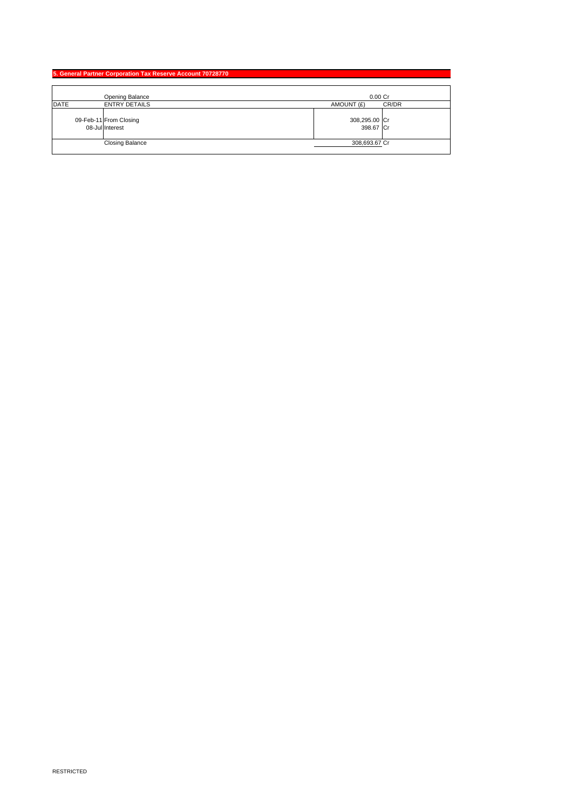|             | 5. General Partner Corporation Tax Reserve Account 70728770 |                            |       |
|-------------|-------------------------------------------------------------|----------------------------|-------|
|             |                                                             |                            |       |
|             | Opening Balance                                             | $0.00$ Cr                  |       |
| <b>DATE</b> | <b>ENTRY DETAILS</b>                                        | AMOUNT (£)                 | CR/DR |
|             | 09-Feb-11 From Closing<br>08-Jul Interest                   | 308,295.00 Cr<br>398.67 Cr |       |
|             | <b>Closing Balance</b>                                      | 308,693.67 Cr              |       |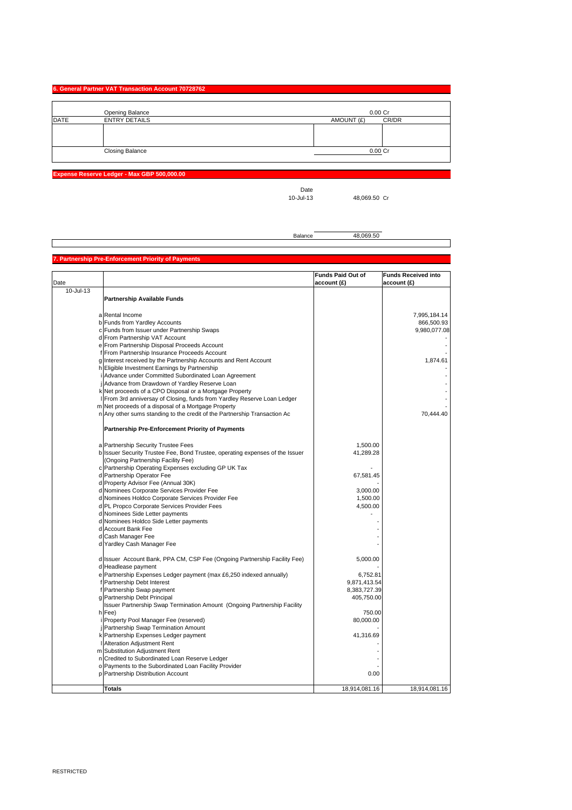### **6. General Partner VAT Transaction Account 70728762**

|             | <b>Opening Balance</b> | $0.00C$ r           |
|-------------|------------------------|---------------------|
| <b>DATE</b> | <b>ENTRY DETAILS</b>   | CR/DR<br>AMOUNT (£) |
|             |                        |                     |
|             |                        |                     |
|             |                        |                     |
|             | <b>Closing Balance</b> | 0.00 Cr             |
|             |                        |                     |

**Expense Reserve Ledger - Max GBP 500,0** 

Date<br>10-Jul-13

48,069.50 Cr

Balance 48,069.50

#### **Partnership Pre-Enforcement Priority of P**

| account (£)<br>account (£)<br>10-Jul-13<br><b>Partnership Available Funds</b><br>a Rental Income<br>7,995,184.14<br>b Funds from Yardley Accounts<br>866,500.93<br>c Funds from Issuer under Partnership Swaps<br>9,980,077.08<br>d From Partnership VAT Account<br>e From Partnership Disposal Proceeds Account<br>f From Partnership Insurance Proceeds Account<br>g Interest received by the Partnership Accounts and Rent Account<br>1,874.61<br>h Eligible Investment Earnings by Partnership<br>i Advance under Committed Subordinated Loan Agreement<br>Advance from Drawdown of Yardley Reserve Loan<br>k Net proceeds of a CPO Disposal or a Mortgage Property<br>From 3rd anniversay of Closing, funds from Yardley Reserve Loan Ledger<br>m Net proceeds of a disposal of a Mortgage Property<br>70,444.40<br>n Any other sums standing to the credit of the Partnership Transaction Ac<br>Partnership Pre-Enforcement Priority of Payments<br>a Partnership Security Trustee Fees<br>1,500.00<br>b Issuer Security Trustee Fee, Bond Trustee, operating expenses of the Issuer<br>41,289.28<br>(Ongoing Partnership Facility Fee)<br>c Partnership Operating Expenses excluding GP UK Tax<br>d Partnership Operator Fee<br>67,581.45<br>d Property Advisor Fee (Annual 30K)<br>d Nominees Corporate Services Provider Fee<br>3,000.00<br>d Nominees Holdco Corporate Services Provider Fee<br>1,500.00<br>d PL Propco Corporate Services Provider Fees<br>4,500.00<br>d Nominees Side Letter payments<br>d Nominees Holdco Side Letter payments<br>d Account Bank Fee<br>d Cash Manager Fee<br>d Yardley Cash Manager Fee<br>d Issuer Account Bank, PPA CM, CSP Fee (Ongoing Partnership Facility Fee)<br>5,000.00<br>d Headlease payment<br>6,752.81<br>e Partnership Expenses Ledger payment (max £6,250 indexed annually)<br>f Partnership Debt Interest<br>9,871,413.54<br>f Partnership Swap payment<br>8,383,727.39<br>g Partnership Debt Principal<br>405,750.00<br>Issuer Partnership Swap Termination Amount (Ongoing Partnership Facility<br>h Fee)<br>750.00<br>Property Pool Manager Fee (reserved)<br>80,000.00<br>Partnership Swap Termination Amount<br>k Partnership Expenses Ledger payment<br>41,316.69<br>Alteration Adjustment Rent<br>m Substitution Adjustment Rent<br>n Credited to Subordinated Loan Reserve Ledger<br>o Payments to the Subordinated Loan Facility Provider<br>p Partnership Distribution Account<br>0.00 |      |               | <b>Funds Paid Out of</b> | <b>Funds Received into</b> |
|----------------------------------------------------------------------------------------------------------------------------------------------------------------------------------------------------------------------------------------------------------------------------------------------------------------------------------------------------------------------------------------------------------------------------------------------------------------------------------------------------------------------------------------------------------------------------------------------------------------------------------------------------------------------------------------------------------------------------------------------------------------------------------------------------------------------------------------------------------------------------------------------------------------------------------------------------------------------------------------------------------------------------------------------------------------------------------------------------------------------------------------------------------------------------------------------------------------------------------------------------------------------------------------------------------------------------------------------------------------------------------------------------------------------------------------------------------------------------------------------------------------------------------------------------------------------------------------------------------------------------------------------------------------------------------------------------------------------------------------------------------------------------------------------------------------------------------------------------------------------------------------------------------------------------------------------------------------------------------------------------------------------------------------------------------------------------------------------------------------------------------------------------------------------------------------------------------------------------------------------------------------------------------------------------------------------------------------------------------------------------------------------------------------------------------------------------------------|------|---------------|--------------------------|----------------------------|
|                                                                                                                                                                                                                                                                                                                                                                                                                                                                                                                                                                                                                                                                                                                                                                                                                                                                                                                                                                                                                                                                                                                                                                                                                                                                                                                                                                                                                                                                                                                                                                                                                                                                                                                                                                                                                                                                                                                                                                                                                                                                                                                                                                                                                                                                                                                                                                                                                                                                | Date |               |                          |                            |
|                                                                                                                                                                                                                                                                                                                                                                                                                                                                                                                                                                                                                                                                                                                                                                                                                                                                                                                                                                                                                                                                                                                                                                                                                                                                                                                                                                                                                                                                                                                                                                                                                                                                                                                                                                                                                                                                                                                                                                                                                                                                                                                                                                                                                                                                                                                                                                                                                                                                |      |               |                          |                            |
|                                                                                                                                                                                                                                                                                                                                                                                                                                                                                                                                                                                                                                                                                                                                                                                                                                                                                                                                                                                                                                                                                                                                                                                                                                                                                                                                                                                                                                                                                                                                                                                                                                                                                                                                                                                                                                                                                                                                                                                                                                                                                                                                                                                                                                                                                                                                                                                                                                                                |      |               |                          |                            |
|                                                                                                                                                                                                                                                                                                                                                                                                                                                                                                                                                                                                                                                                                                                                                                                                                                                                                                                                                                                                                                                                                                                                                                                                                                                                                                                                                                                                                                                                                                                                                                                                                                                                                                                                                                                                                                                                                                                                                                                                                                                                                                                                                                                                                                                                                                                                                                                                                                                                |      |               |                          |                            |
|                                                                                                                                                                                                                                                                                                                                                                                                                                                                                                                                                                                                                                                                                                                                                                                                                                                                                                                                                                                                                                                                                                                                                                                                                                                                                                                                                                                                                                                                                                                                                                                                                                                                                                                                                                                                                                                                                                                                                                                                                                                                                                                                                                                                                                                                                                                                                                                                                                                                |      |               |                          |                            |
|                                                                                                                                                                                                                                                                                                                                                                                                                                                                                                                                                                                                                                                                                                                                                                                                                                                                                                                                                                                                                                                                                                                                                                                                                                                                                                                                                                                                                                                                                                                                                                                                                                                                                                                                                                                                                                                                                                                                                                                                                                                                                                                                                                                                                                                                                                                                                                                                                                                                |      |               |                          |                            |
|                                                                                                                                                                                                                                                                                                                                                                                                                                                                                                                                                                                                                                                                                                                                                                                                                                                                                                                                                                                                                                                                                                                                                                                                                                                                                                                                                                                                                                                                                                                                                                                                                                                                                                                                                                                                                                                                                                                                                                                                                                                                                                                                                                                                                                                                                                                                                                                                                                                                |      |               |                          |                            |
|                                                                                                                                                                                                                                                                                                                                                                                                                                                                                                                                                                                                                                                                                                                                                                                                                                                                                                                                                                                                                                                                                                                                                                                                                                                                                                                                                                                                                                                                                                                                                                                                                                                                                                                                                                                                                                                                                                                                                                                                                                                                                                                                                                                                                                                                                                                                                                                                                                                                |      |               |                          |                            |
|                                                                                                                                                                                                                                                                                                                                                                                                                                                                                                                                                                                                                                                                                                                                                                                                                                                                                                                                                                                                                                                                                                                                                                                                                                                                                                                                                                                                                                                                                                                                                                                                                                                                                                                                                                                                                                                                                                                                                                                                                                                                                                                                                                                                                                                                                                                                                                                                                                                                |      |               |                          |                            |
|                                                                                                                                                                                                                                                                                                                                                                                                                                                                                                                                                                                                                                                                                                                                                                                                                                                                                                                                                                                                                                                                                                                                                                                                                                                                                                                                                                                                                                                                                                                                                                                                                                                                                                                                                                                                                                                                                                                                                                                                                                                                                                                                                                                                                                                                                                                                                                                                                                                                |      |               |                          |                            |
|                                                                                                                                                                                                                                                                                                                                                                                                                                                                                                                                                                                                                                                                                                                                                                                                                                                                                                                                                                                                                                                                                                                                                                                                                                                                                                                                                                                                                                                                                                                                                                                                                                                                                                                                                                                                                                                                                                                                                                                                                                                                                                                                                                                                                                                                                                                                                                                                                                                                |      |               |                          |                            |
|                                                                                                                                                                                                                                                                                                                                                                                                                                                                                                                                                                                                                                                                                                                                                                                                                                                                                                                                                                                                                                                                                                                                                                                                                                                                                                                                                                                                                                                                                                                                                                                                                                                                                                                                                                                                                                                                                                                                                                                                                                                                                                                                                                                                                                                                                                                                                                                                                                                                |      |               |                          |                            |
|                                                                                                                                                                                                                                                                                                                                                                                                                                                                                                                                                                                                                                                                                                                                                                                                                                                                                                                                                                                                                                                                                                                                                                                                                                                                                                                                                                                                                                                                                                                                                                                                                                                                                                                                                                                                                                                                                                                                                                                                                                                                                                                                                                                                                                                                                                                                                                                                                                                                |      |               |                          |                            |
|                                                                                                                                                                                                                                                                                                                                                                                                                                                                                                                                                                                                                                                                                                                                                                                                                                                                                                                                                                                                                                                                                                                                                                                                                                                                                                                                                                                                                                                                                                                                                                                                                                                                                                                                                                                                                                                                                                                                                                                                                                                                                                                                                                                                                                                                                                                                                                                                                                                                |      |               |                          |                            |
|                                                                                                                                                                                                                                                                                                                                                                                                                                                                                                                                                                                                                                                                                                                                                                                                                                                                                                                                                                                                                                                                                                                                                                                                                                                                                                                                                                                                                                                                                                                                                                                                                                                                                                                                                                                                                                                                                                                                                                                                                                                                                                                                                                                                                                                                                                                                                                                                                                                                |      |               |                          |                            |
|                                                                                                                                                                                                                                                                                                                                                                                                                                                                                                                                                                                                                                                                                                                                                                                                                                                                                                                                                                                                                                                                                                                                                                                                                                                                                                                                                                                                                                                                                                                                                                                                                                                                                                                                                                                                                                                                                                                                                                                                                                                                                                                                                                                                                                                                                                                                                                                                                                                                |      |               |                          |                            |
|                                                                                                                                                                                                                                                                                                                                                                                                                                                                                                                                                                                                                                                                                                                                                                                                                                                                                                                                                                                                                                                                                                                                                                                                                                                                                                                                                                                                                                                                                                                                                                                                                                                                                                                                                                                                                                                                                                                                                                                                                                                                                                                                                                                                                                                                                                                                                                                                                                                                |      |               |                          |                            |
|                                                                                                                                                                                                                                                                                                                                                                                                                                                                                                                                                                                                                                                                                                                                                                                                                                                                                                                                                                                                                                                                                                                                                                                                                                                                                                                                                                                                                                                                                                                                                                                                                                                                                                                                                                                                                                                                                                                                                                                                                                                                                                                                                                                                                                                                                                                                                                                                                                                                |      |               |                          |                            |
|                                                                                                                                                                                                                                                                                                                                                                                                                                                                                                                                                                                                                                                                                                                                                                                                                                                                                                                                                                                                                                                                                                                                                                                                                                                                                                                                                                                                                                                                                                                                                                                                                                                                                                                                                                                                                                                                                                                                                                                                                                                                                                                                                                                                                                                                                                                                                                                                                                                                |      |               |                          |                            |
|                                                                                                                                                                                                                                                                                                                                                                                                                                                                                                                                                                                                                                                                                                                                                                                                                                                                                                                                                                                                                                                                                                                                                                                                                                                                                                                                                                                                                                                                                                                                                                                                                                                                                                                                                                                                                                                                                                                                                                                                                                                                                                                                                                                                                                                                                                                                                                                                                                                                |      |               |                          |                            |
|                                                                                                                                                                                                                                                                                                                                                                                                                                                                                                                                                                                                                                                                                                                                                                                                                                                                                                                                                                                                                                                                                                                                                                                                                                                                                                                                                                                                                                                                                                                                                                                                                                                                                                                                                                                                                                                                                                                                                                                                                                                                                                                                                                                                                                                                                                                                                                                                                                                                |      |               |                          |                            |
|                                                                                                                                                                                                                                                                                                                                                                                                                                                                                                                                                                                                                                                                                                                                                                                                                                                                                                                                                                                                                                                                                                                                                                                                                                                                                                                                                                                                                                                                                                                                                                                                                                                                                                                                                                                                                                                                                                                                                                                                                                                                                                                                                                                                                                                                                                                                                                                                                                                                |      |               |                          |                            |
|                                                                                                                                                                                                                                                                                                                                                                                                                                                                                                                                                                                                                                                                                                                                                                                                                                                                                                                                                                                                                                                                                                                                                                                                                                                                                                                                                                                                                                                                                                                                                                                                                                                                                                                                                                                                                                                                                                                                                                                                                                                                                                                                                                                                                                                                                                                                                                                                                                                                |      |               |                          |                            |
|                                                                                                                                                                                                                                                                                                                                                                                                                                                                                                                                                                                                                                                                                                                                                                                                                                                                                                                                                                                                                                                                                                                                                                                                                                                                                                                                                                                                                                                                                                                                                                                                                                                                                                                                                                                                                                                                                                                                                                                                                                                                                                                                                                                                                                                                                                                                                                                                                                                                |      |               |                          |                            |
|                                                                                                                                                                                                                                                                                                                                                                                                                                                                                                                                                                                                                                                                                                                                                                                                                                                                                                                                                                                                                                                                                                                                                                                                                                                                                                                                                                                                                                                                                                                                                                                                                                                                                                                                                                                                                                                                                                                                                                                                                                                                                                                                                                                                                                                                                                                                                                                                                                                                |      |               |                          |                            |
|                                                                                                                                                                                                                                                                                                                                                                                                                                                                                                                                                                                                                                                                                                                                                                                                                                                                                                                                                                                                                                                                                                                                                                                                                                                                                                                                                                                                                                                                                                                                                                                                                                                                                                                                                                                                                                                                                                                                                                                                                                                                                                                                                                                                                                                                                                                                                                                                                                                                |      |               |                          |                            |
|                                                                                                                                                                                                                                                                                                                                                                                                                                                                                                                                                                                                                                                                                                                                                                                                                                                                                                                                                                                                                                                                                                                                                                                                                                                                                                                                                                                                                                                                                                                                                                                                                                                                                                                                                                                                                                                                                                                                                                                                                                                                                                                                                                                                                                                                                                                                                                                                                                                                |      |               |                          |                            |
|                                                                                                                                                                                                                                                                                                                                                                                                                                                                                                                                                                                                                                                                                                                                                                                                                                                                                                                                                                                                                                                                                                                                                                                                                                                                                                                                                                                                                                                                                                                                                                                                                                                                                                                                                                                                                                                                                                                                                                                                                                                                                                                                                                                                                                                                                                                                                                                                                                                                |      |               |                          |                            |
|                                                                                                                                                                                                                                                                                                                                                                                                                                                                                                                                                                                                                                                                                                                                                                                                                                                                                                                                                                                                                                                                                                                                                                                                                                                                                                                                                                                                                                                                                                                                                                                                                                                                                                                                                                                                                                                                                                                                                                                                                                                                                                                                                                                                                                                                                                                                                                                                                                                                |      |               |                          |                            |
|                                                                                                                                                                                                                                                                                                                                                                                                                                                                                                                                                                                                                                                                                                                                                                                                                                                                                                                                                                                                                                                                                                                                                                                                                                                                                                                                                                                                                                                                                                                                                                                                                                                                                                                                                                                                                                                                                                                                                                                                                                                                                                                                                                                                                                                                                                                                                                                                                                                                |      |               |                          |                            |
|                                                                                                                                                                                                                                                                                                                                                                                                                                                                                                                                                                                                                                                                                                                                                                                                                                                                                                                                                                                                                                                                                                                                                                                                                                                                                                                                                                                                                                                                                                                                                                                                                                                                                                                                                                                                                                                                                                                                                                                                                                                                                                                                                                                                                                                                                                                                                                                                                                                                |      |               |                          |                            |
|                                                                                                                                                                                                                                                                                                                                                                                                                                                                                                                                                                                                                                                                                                                                                                                                                                                                                                                                                                                                                                                                                                                                                                                                                                                                                                                                                                                                                                                                                                                                                                                                                                                                                                                                                                                                                                                                                                                                                                                                                                                                                                                                                                                                                                                                                                                                                                                                                                                                |      |               |                          |                            |
|                                                                                                                                                                                                                                                                                                                                                                                                                                                                                                                                                                                                                                                                                                                                                                                                                                                                                                                                                                                                                                                                                                                                                                                                                                                                                                                                                                                                                                                                                                                                                                                                                                                                                                                                                                                                                                                                                                                                                                                                                                                                                                                                                                                                                                                                                                                                                                                                                                                                |      |               |                          |                            |
|                                                                                                                                                                                                                                                                                                                                                                                                                                                                                                                                                                                                                                                                                                                                                                                                                                                                                                                                                                                                                                                                                                                                                                                                                                                                                                                                                                                                                                                                                                                                                                                                                                                                                                                                                                                                                                                                                                                                                                                                                                                                                                                                                                                                                                                                                                                                                                                                                                                                |      |               |                          |                            |
|                                                                                                                                                                                                                                                                                                                                                                                                                                                                                                                                                                                                                                                                                                                                                                                                                                                                                                                                                                                                                                                                                                                                                                                                                                                                                                                                                                                                                                                                                                                                                                                                                                                                                                                                                                                                                                                                                                                                                                                                                                                                                                                                                                                                                                                                                                                                                                                                                                                                |      |               |                          |                            |
|                                                                                                                                                                                                                                                                                                                                                                                                                                                                                                                                                                                                                                                                                                                                                                                                                                                                                                                                                                                                                                                                                                                                                                                                                                                                                                                                                                                                                                                                                                                                                                                                                                                                                                                                                                                                                                                                                                                                                                                                                                                                                                                                                                                                                                                                                                                                                                                                                                                                |      |               |                          |                            |
|                                                                                                                                                                                                                                                                                                                                                                                                                                                                                                                                                                                                                                                                                                                                                                                                                                                                                                                                                                                                                                                                                                                                                                                                                                                                                                                                                                                                                                                                                                                                                                                                                                                                                                                                                                                                                                                                                                                                                                                                                                                                                                                                                                                                                                                                                                                                                                                                                                                                |      |               |                          |                            |
|                                                                                                                                                                                                                                                                                                                                                                                                                                                                                                                                                                                                                                                                                                                                                                                                                                                                                                                                                                                                                                                                                                                                                                                                                                                                                                                                                                                                                                                                                                                                                                                                                                                                                                                                                                                                                                                                                                                                                                                                                                                                                                                                                                                                                                                                                                                                                                                                                                                                |      |               |                          |                            |
|                                                                                                                                                                                                                                                                                                                                                                                                                                                                                                                                                                                                                                                                                                                                                                                                                                                                                                                                                                                                                                                                                                                                                                                                                                                                                                                                                                                                                                                                                                                                                                                                                                                                                                                                                                                                                                                                                                                                                                                                                                                                                                                                                                                                                                                                                                                                                                                                                                                                |      |               |                          |                            |
|                                                                                                                                                                                                                                                                                                                                                                                                                                                                                                                                                                                                                                                                                                                                                                                                                                                                                                                                                                                                                                                                                                                                                                                                                                                                                                                                                                                                                                                                                                                                                                                                                                                                                                                                                                                                                                                                                                                                                                                                                                                                                                                                                                                                                                                                                                                                                                                                                                                                |      |               |                          |                            |
|                                                                                                                                                                                                                                                                                                                                                                                                                                                                                                                                                                                                                                                                                                                                                                                                                                                                                                                                                                                                                                                                                                                                                                                                                                                                                                                                                                                                                                                                                                                                                                                                                                                                                                                                                                                                                                                                                                                                                                                                                                                                                                                                                                                                                                                                                                                                                                                                                                                                |      |               |                          |                            |
|                                                                                                                                                                                                                                                                                                                                                                                                                                                                                                                                                                                                                                                                                                                                                                                                                                                                                                                                                                                                                                                                                                                                                                                                                                                                                                                                                                                                                                                                                                                                                                                                                                                                                                                                                                                                                                                                                                                                                                                                                                                                                                                                                                                                                                                                                                                                                                                                                                                                |      |               |                          |                            |
|                                                                                                                                                                                                                                                                                                                                                                                                                                                                                                                                                                                                                                                                                                                                                                                                                                                                                                                                                                                                                                                                                                                                                                                                                                                                                                                                                                                                                                                                                                                                                                                                                                                                                                                                                                                                                                                                                                                                                                                                                                                                                                                                                                                                                                                                                                                                                                                                                                                                |      |               |                          |                            |
|                                                                                                                                                                                                                                                                                                                                                                                                                                                                                                                                                                                                                                                                                                                                                                                                                                                                                                                                                                                                                                                                                                                                                                                                                                                                                                                                                                                                                                                                                                                                                                                                                                                                                                                                                                                                                                                                                                                                                                                                                                                                                                                                                                                                                                                                                                                                                                                                                                                                |      |               |                          |                            |
|                                                                                                                                                                                                                                                                                                                                                                                                                                                                                                                                                                                                                                                                                                                                                                                                                                                                                                                                                                                                                                                                                                                                                                                                                                                                                                                                                                                                                                                                                                                                                                                                                                                                                                                                                                                                                                                                                                                                                                                                                                                                                                                                                                                                                                                                                                                                                                                                                                                                |      |               |                          |                            |
|                                                                                                                                                                                                                                                                                                                                                                                                                                                                                                                                                                                                                                                                                                                                                                                                                                                                                                                                                                                                                                                                                                                                                                                                                                                                                                                                                                                                                                                                                                                                                                                                                                                                                                                                                                                                                                                                                                                                                                                                                                                                                                                                                                                                                                                                                                                                                                                                                                                                |      |               |                          |                            |
|                                                                                                                                                                                                                                                                                                                                                                                                                                                                                                                                                                                                                                                                                                                                                                                                                                                                                                                                                                                                                                                                                                                                                                                                                                                                                                                                                                                                                                                                                                                                                                                                                                                                                                                                                                                                                                                                                                                                                                                                                                                                                                                                                                                                                                                                                                                                                                                                                                                                |      |               |                          |                            |
|                                                                                                                                                                                                                                                                                                                                                                                                                                                                                                                                                                                                                                                                                                                                                                                                                                                                                                                                                                                                                                                                                                                                                                                                                                                                                                                                                                                                                                                                                                                                                                                                                                                                                                                                                                                                                                                                                                                                                                                                                                                                                                                                                                                                                                                                                                                                                                                                                                                                |      | <b>Totals</b> | 18,914,081.16            | 18,914,081.16              |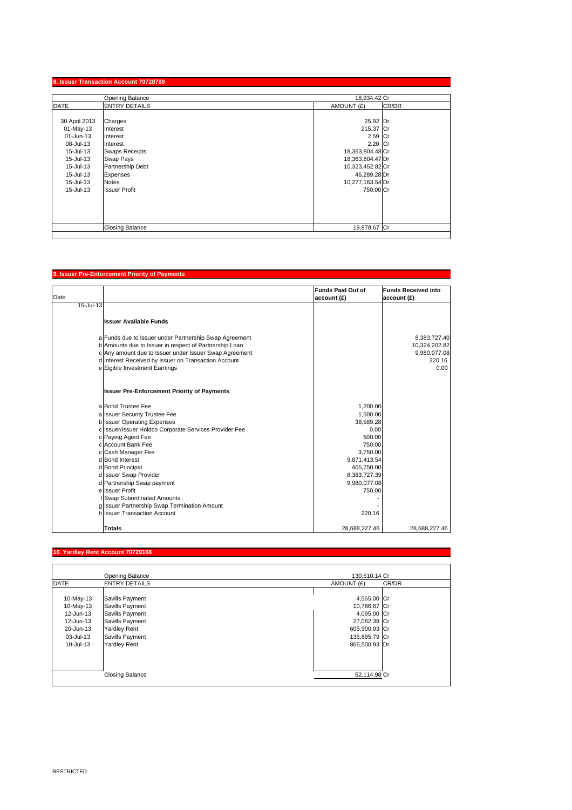|               | Opening Balance        | 18,934.42 Cr     |       |
|---------------|------------------------|------------------|-------|
| <b>DATE</b>   | <b>ENTRY DETAILS</b>   | AMOUNT (£)       | CR/DR |
| 30 April 2013 | Charges                | 25.92 Dr         |       |
| 01-May-13     | Interest               | 215.37 Cr        |       |
| 01-Jun-13     | Interest               | 2.59 Cr          |       |
| 08-Jul-13     | Interest               | 2.20 Cr          |       |
| 15-Jul-13     | <b>Swaps Receipts</b>  | 18,363,804.48 Cr |       |
| 15-Jul-13     | Swap Pays              | 18,363,804.47 Dr |       |
| 15-Jul-13     | Partnership Debt       | 10,323,452.82 Cr |       |
| 15-Jul-13     | Expenses               | 46,289.28 Dr     |       |
| 15-Jul-13     | <b>Notes</b>           | 10,277,163.54 Dr |       |
| 15-Jul-13     | <b>Issuer Profit</b>   | 750,00 Cr        |       |
|               |                        |                  |       |
|               |                        |                  |       |
|               |                        |                  |       |
|               |                        |                  |       |
|               | <b>Closing Balance</b> | 19,878.67 Cr     |       |

## **9. Issuer Pre-Enforcement Priority of Paym**

| Date      |                                                        | <b>Funds Paid Out of</b><br>account (£) | <b>Funds Received into</b><br>account (£) |
|-----------|--------------------------------------------------------|-----------------------------------------|-------------------------------------------|
| 15-Jul-13 |                                                        |                                         |                                           |
|           |                                                        |                                         |                                           |
|           | <b>Issuer Available Funds</b>                          |                                         |                                           |
|           |                                                        |                                         |                                           |
|           | a Funds due to Issuer under Partnership Swap Agreement |                                         | 8,383,727.40                              |
|           | b Amounts due to Issuer in respect of Partnership Loan |                                         | 10,324,202.82                             |
|           | c Any amount due to Issuer under Issuer Swap Agreement |                                         | 9,980,077.08                              |
|           | d Interest Received by Issuer on Transaction Account   |                                         | 220.16                                    |
|           | e Eigible Investment Earnings                          |                                         | 0.00                                      |
|           | <b>Issuer Pre-Enforcement Priority of Payments</b>     |                                         |                                           |
|           | a Bond Trustee Fee                                     | 1,200.00                                |                                           |
|           | a Issuer Security Trustee Fee                          | 1.500.00                                |                                           |
|           | b Issuer Operating Expenses                            | 38,589.28                               |                                           |
|           | c Issuer/Issuer Holdco Corporate Services Provider Fee | 0.00                                    |                                           |
|           | c Paying Agent Fee                                     | 500.00                                  |                                           |
|           | c Account Bank Fee                                     | 750.00                                  |                                           |
|           | c Cash Manager Fee                                     | 3,750.00                                |                                           |
|           | d Bond Interest                                        | 9,871,413.54                            |                                           |
|           | d Bond Principal                                       | 405,750.00                              |                                           |
|           | d Issuer Swap Provider                                 | 8,383,727.39                            |                                           |
|           | d Partnership Swap payment                             | 9,980,077.08                            |                                           |
|           | e Issuer Profit                                        | 750.00                                  |                                           |
|           | f Swap Subordinated Amounts                            |                                         |                                           |
|           | g Issuer Partnership Swap Termination Amount           |                                         |                                           |
|           | h Issuer Transaction Account                           | 220.16                                  |                                           |
|           | Totals                                                 | 28,688,227.46                           | 28.688.227.46                             |

### **10. Yardley Rent Account 70729168**

|             | Opening Balance        | 130,510.14 Cr       |  |
|-------------|------------------------|---------------------|--|
| <b>DATE</b> | <b>ENTRY DETAILS</b>   | CR/DR<br>AMOUNT (£) |  |
|             |                        |                     |  |
| 10-May-13   | Savills Payment        | 4,565.00 Cr         |  |
| 10-May-13   | Savills Payment        | 10,786.67 Cr        |  |
| 12-Jun-13   | Savills Payment        | 4,095.00 Cr         |  |
| 12-Jun-13   | Savills Payment        | 27,062.38 Cr        |  |
| 20-Jun-13   | <b>Yardley Rent</b>    | 605,900.93 Cr       |  |
| 03-Jul-13   | Savills Payment        | 135,695.79 Cr       |  |
| 10-Jul-13   | <b>Yardley Rent</b>    | 866,500.93 Dr       |  |
|             |                        |                     |  |
|             |                        |                     |  |
|             |                        |                     |  |
|             | <b>Closing Balance</b> | 52,114.98 Cr        |  |